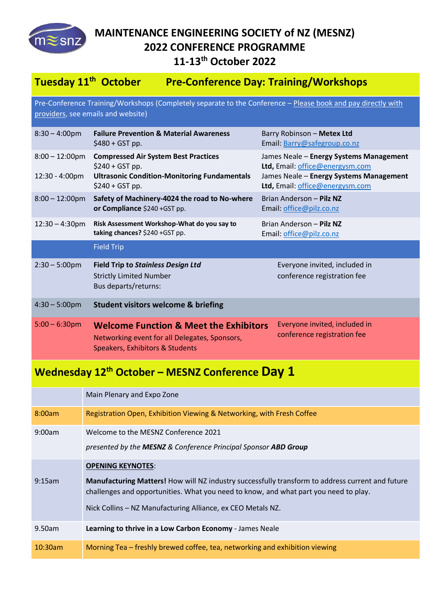

## **MAINTENANCE ENGINEERING SOCIETY of NZ (MESNZ) 2022 CONFERENCE PROGRAMME 11-13th October 2022**

## **Tuesday 11<sup>th</sup> October Pre-Conference Day: Training/Workshops**

Pre-Conference Training/Workshops (Completely separate to the Conference - Please book and pay directly with providers, see emails and website)

| $8:30 - 4:00 \text{pm}$             | <b>Failure Prevention &amp; Material Awareness</b><br>$$480 + GST$ pp.                                                                     | Barry Robinson - Metex Ltd<br>Email: Barry@safegroup.co.nz                                                                                               |  |
|-------------------------------------|--------------------------------------------------------------------------------------------------------------------------------------------|----------------------------------------------------------------------------------------------------------------------------------------------------------|--|
| $8:00 - 12:00$ pm<br>12:30 - 4:00pm | <b>Compressed Air System Best Practices</b><br>$$240 + GST pp.$<br><b>Ultrasonic Condition-Monitoring Fundamentals</b><br>$$240 + GST pp.$ | James Neale - Energy Systems Management<br>Ltd, Email: office@energysm.com<br>James Neale - Energy Systems Management<br>Ltd, Email: office@energysm.com |  |
| $8:00 - 12:00$ pm                   | Safety of Machinery-4024 the road to No-where<br>or Compliance \$240 +GST pp.                                                              | Brian Anderson - Pilz NZ<br>Email: office@pilz.co.nz                                                                                                     |  |
| $12:30 - 4:30$ pm                   | Risk Assessment Workshop-What do you say to<br>taking chances? \$240 +GST pp.                                                              | Brian Anderson - Pilz NZ<br>Email: office@pilz.co.nz                                                                                                     |  |
|                                     | <b>Field Trip</b>                                                                                                                          |                                                                                                                                                          |  |
| $2:30 - 5:00$ pm                    | <b>Field Trip to Stainless Design Ltd</b><br><b>Strictly Limited Number</b><br>Bus departs/returns:                                        | Everyone invited, included in<br>conference registration fee                                                                                             |  |
| $4:30 - 5:00 \text{pm}$             | <b>Student visitors welcome &amp; briefing</b>                                                                                             |                                                                                                                                                          |  |
| $5:00 - 6:30$ pm                    | <b>Welcome Function &amp; Meet the Exhibitors</b><br>Networking event for all Delegates, Sponsors,<br>Speakers, Exhibitors & Students      | Everyone invited, included in<br>conference registration fee                                                                                             |  |

## **Wednesday 12 th October – MESNZ Conference Day 1**

|         | Main Plenary and Expo Zone                                                                                                                                                                                                                                                          |
|---------|-------------------------------------------------------------------------------------------------------------------------------------------------------------------------------------------------------------------------------------------------------------------------------------|
| 8:00am  | Registration Open, Exhibition Viewing & Networking, with Fresh Coffee                                                                                                                                                                                                               |
| 9:00am  | Welcome to the MESNZ Conference 2021<br>presented by the MESNZ & Conference Principal Sponsor ABD Group                                                                                                                                                                             |
| 9:15am  | <b>OPENING KEYNOTES:</b><br>Manufacturing Matters! How will NZ industry successfully transform to address current and future<br>challenges and opportunities. What you need to know, and what part you need to play.<br>Nick Collins - NZ Manufacturing Alliance, ex CEO Metals NZ. |
| 9.50am  | Learning to thrive in a Low Carbon Economy - James Neale                                                                                                                                                                                                                            |
| 10:30am | Morning Tea - freshly brewed coffee, tea, networking and exhibition viewing                                                                                                                                                                                                         |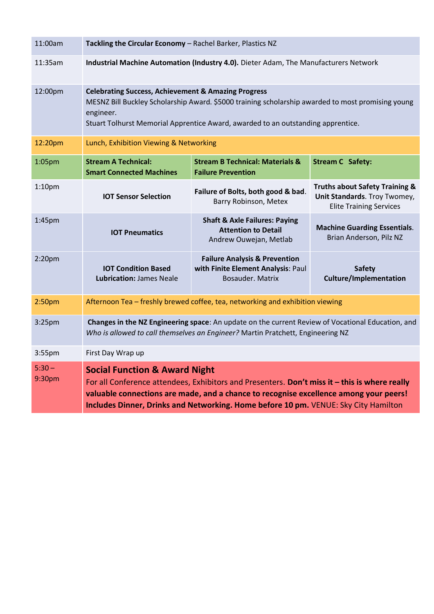| 11:00am            | Tackling the Circular Economy - Rachel Barker, Plastics NZ                                                                                                                                                                                                                                                                |                                                                                                    |                                                                                                             |  |  |
|--------------------|---------------------------------------------------------------------------------------------------------------------------------------------------------------------------------------------------------------------------------------------------------------------------------------------------------------------------|----------------------------------------------------------------------------------------------------|-------------------------------------------------------------------------------------------------------------|--|--|
| 11:35am            | Industrial Machine Automation (Industry 4.0). Dieter Adam, The Manufacturers Network                                                                                                                                                                                                                                      |                                                                                                    |                                                                                                             |  |  |
| 12:00pm            | <b>Celebrating Success, Achievement &amp; Amazing Progress</b><br>MESNZ Bill Buckley Scholarship Award. \$5000 training scholarship awarded to most promising young<br>engineer.<br>Stuart Tolhurst Memorial Apprentice Award, awarded to an outstanding apprentice.                                                      |                                                                                                    |                                                                                                             |  |  |
| 12:20pm            | Lunch, Exhibition Viewing & Networking                                                                                                                                                                                                                                                                                    |                                                                                                    |                                                                                                             |  |  |
| 1:05pm             | <b>Stream A Technical:</b><br><b>Smart Connected Machines</b>                                                                                                                                                                                                                                                             | <b>Stream B Technical: Materials &amp;</b><br><b>Failure Prevention</b>                            | <b>Stream C Safety:</b>                                                                                     |  |  |
| 1:10 <sub>pm</sub> | <b>IOT Sensor Selection</b>                                                                                                                                                                                                                                                                                               | Failure of Bolts, both good & bad.<br>Barry Robinson, Metex                                        | <b>Truths about Safety Training &amp;</b><br>Unit Standards. Troy Twomey,<br><b>Elite Training Services</b> |  |  |
| 1:45pm             | <b>IOT Pneumatics</b>                                                                                                                                                                                                                                                                                                     | <b>Shaft &amp; Axle Failures: Paying</b><br><b>Attention to Detail</b><br>Andrew Ouwejan, Metlab   | <b>Machine Guarding Essentials.</b><br>Brian Anderson, Pilz NZ                                              |  |  |
| 2:20 <sub>pm</sub> | <b>IOT Condition Based</b><br><b>Lubrication: James Neale</b>                                                                                                                                                                                                                                                             | <b>Failure Analysis &amp; Prevention</b><br>with Finite Element Analysis: Paul<br>Bosauder. Matrix | <b>Safety</b><br><b>Culture/Implementation</b>                                                              |  |  |
| 2:50 <sub>pm</sub> | Afternoon Tea - freshly brewed coffee, tea, networking and exhibition viewing                                                                                                                                                                                                                                             |                                                                                                    |                                                                                                             |  |  |
| 3:25pm             | Changes in the NZ Engineering space: An update on the current Review of Vocational Education, and<br>Who is allowed to call themselves an Engineer? Martin Pratchett, Engineering NZ                                                                                                                                      |                                                                                                    |                                                                                                             |  |  |
| 3:55pm             | First Day Wrap up                                                                                                                                                                                                                                                                                                         |                                                                                                    |                                                                                                             |  |  |
| $5:30 -$<br>9:30pm | <b>Social Function &amp; Award Night</b><br>For all Conference attendees, Exhibitors and Presenters. Don't miss it - this is where really<br>valuable connections are made, and a chance to recognise excellence among your peers!<br>Includes Dinner, Drinks and Networking. Home before 10 pm. VENUE: Sky City Hamilton |                                                                                                    |                                                                                                             |  |  |